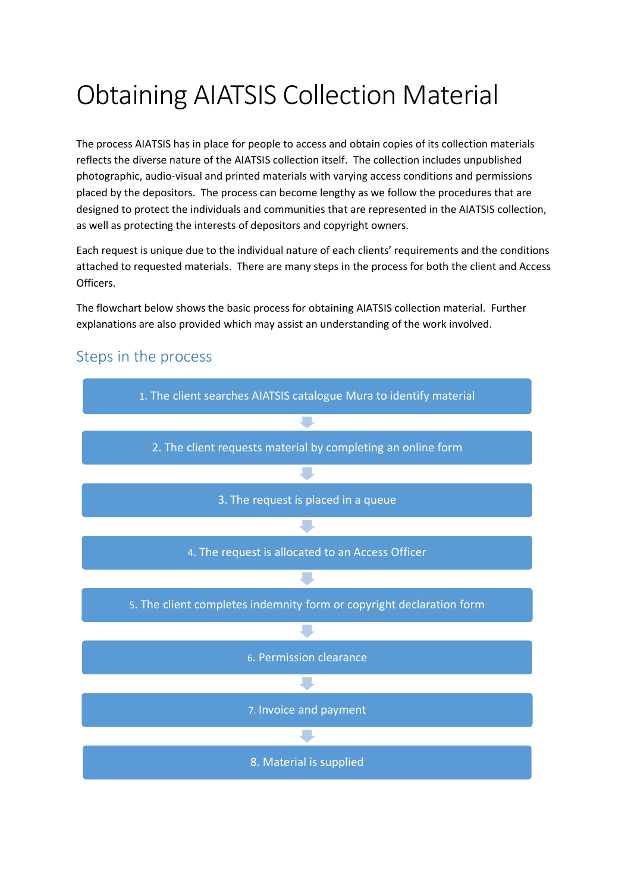## Obtaining AIATSIS Collection Material

The process AIATSIS has in place for people to access and obtain copies of its collection materials reflects the diverse nature of the AIATSIS collection itself. The collection includes unpublished photographic, audio-visual and printed materials with varying access conditions and permissions placed by the depositors. The process can become lengthy as we follow the procedures that are designed to protect the individuals and communities that are represented in the AIATSIS collection, as well as protecting the interests of depositors and copyright owners.

Each request is unique due to the individual nature of each clients' requirements and the conditions attached to requested materials. There are many steps in the process for both the client and Access Officers.

The flowchart below shows the basic process for obtaining AIATSIS collection material. Further explanations are also provided which may assist an understanding of the work involved.



## Steps in the process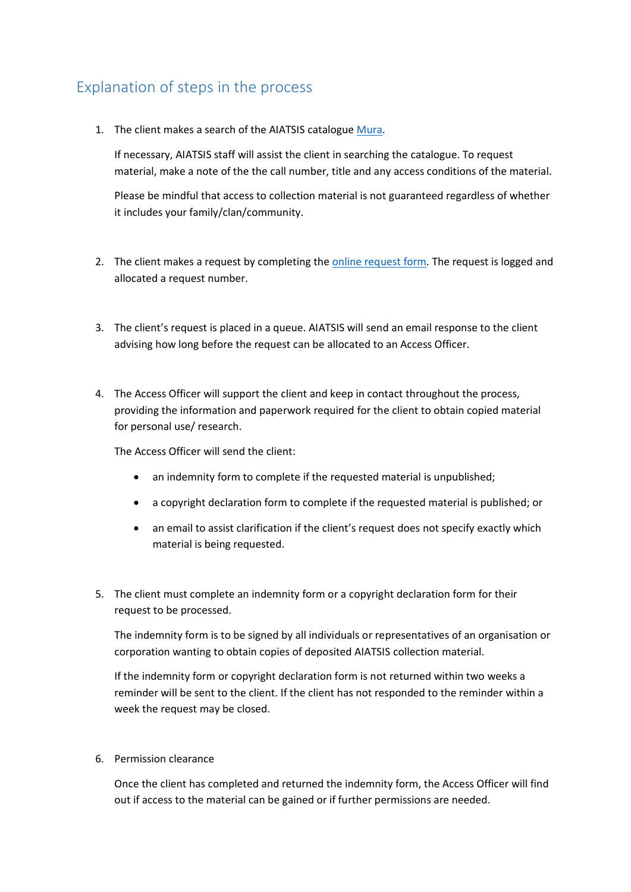## Explanation of steps in the process

1. The client makes a search of the AIATSIS catalogu[e Mura.](https://collection.aiatsis.gov.au/)

If necessary, AIATSIS staff will assist the client in searching the catalogue. To request material, make a note of the the call number, title and any access conditions of the material.

Please be mindful that access to collection material is not guaranteed regardless of whether it includes your family/clan/community.

- 2. The client makes a request by completing th[e online request form.](https://aiatsis.gov.au/form/request-collection-access) The request is logged and allocated a request number.
- 3. The client's request is placed in a queue. AIATSIS will send an email response to the client advising how long before the request can be allocated to an Access Officer.
- 4. The Access Officer will support the client and keep in contact throughout the process, providing the information and paperwork required for the client to obtain copied material for personal use/ research.

The Access Officer will send the client:

- an indemnity form to complete if the requested material is unpublished;
- a copyright declaration form to complete if the requested material is published; or
- an email to assist clarification if the client's request does not specify exactly which material is being requested.
- 5. The client must complete an indemnity form or a copyright declaration form for their request to be processed.

The indemnity form is to be signed by all individuals or representatives of an organisation or corporation wanting to obtain copies of deposited AIATSIS collection material.

If the indemnity form or copyright declaration form is not returned within two weeks a reminder will be sent to the client. If the client has not responded to the reminder within a week the request may be closed.

6. Permission clearance

Once the client has completed and returned the indemnity form, the Access Officer will find out if access to the material can be gained or if further permissions are needed.